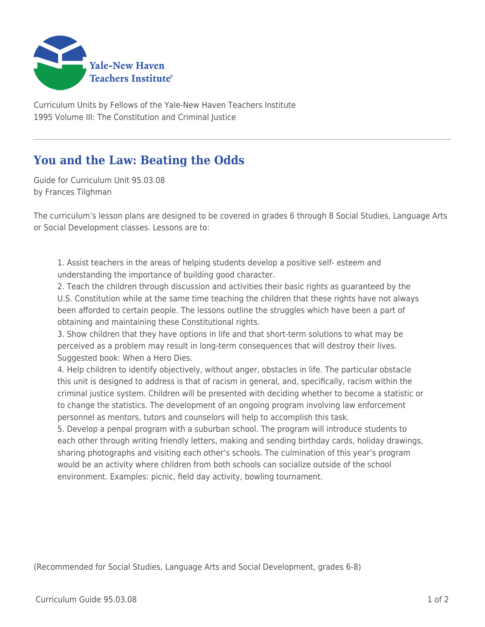

Curriculum Units by Fellows of the Yale-New Haven Teachers Institute 1995 Volume III: The Constitution and Criminal Justice

## **You and the Law: Beating the Odds**

Guide for Curriculum Unit 95.03.08 by Frances Tilghman

The curriculum's lesson plans are designed to be covered in grades 6 through 8 Social Studies, Language Arts or Social Development classes. Lessons are to:

1. Assist teachers in the areas of helping students develop a positive self- esteem and understanding the importance of building good character.

2. Teach the children through discussion and activities their basic rights as guaranteed by the U.S. Constitution while at the same time teaching the children that these rights have not always been afforded to certain people. The lessons outline the struggles which have been a part of obtaining and maintaining these Constitutional rights.

3. Show children that they have options in life and that short-term solutions to what may be perceived as a problem may result in long-term consequences that will destroy their lives. Suggested book: When a Hero Dies.

4. Help children to identify objectively, without anger, obstacles in life. The particular obstacle this unit is designed to address is that of racism in general, and, specifically, racism within the criminal justice system. Children will be presented with deciding whether to become a statistic or to change the statistics. The development of an ongoing program involving law enforcement personnel as mentors, tutors and counselors will help to accomplish this task.

5. Develop a penpal program with a suburban school. The program will introduce students to each other through writing friendly letters, making and sending birthday cards, holiday drawings, sharing photographs and visiting each other's schools. The culmination of this year's program would be an activity where children from both schools can socialize outside of the school environment. Examples: picnic, field day activity, bowling tournament.

(Recommended for Social Studies, Language Arts and Social Development, grades 6-8)